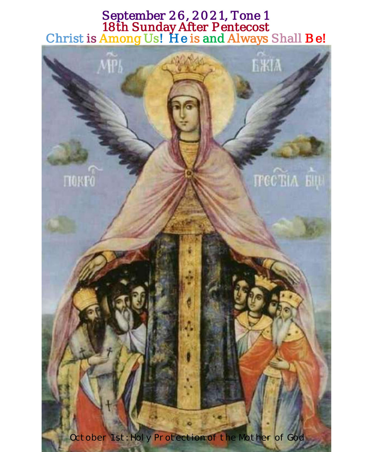## September 26, 2021, Tone 1 18th Sunday After Pentecost Christ is Among Us! He is and Always Shall Be!

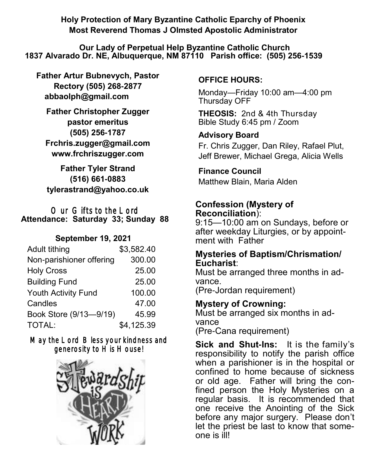**Holy Protection of Mary Byzantine Catholic Eparchy of Phoenix Most Reverend Thomas J Olmsted Apostolic Administrator** 

**Our Lady of Perpetual Help Byzantine Catholic Church 1837 Alvarado Dr. NE, Albuquerque, NM 87110 Parish office: (505) 256-1539**

**Father Artur Bubnevych, Pastor Rectory (505) 268-2877 abbaolph@gmail.com** 

**Father Christopher Zugger pastor emeritus (505) 256-1787 Frchris.zugger@gmail.com www.frchriszugger.com** 

**Father Tyler Strand (516) 661-0883 tylerastrand@yahoo.co.uk**

#### Our Gifts to the Lord **Attendance: Saturday 33; Sunday 88**

## **September 19, 2021**

| Adult tithing              | \$3,582.40 |
|----------------------------|------------|
| Non-parishioner offering   | 300.00     |
| <b>Holy Cross</b>          | 25.00      |
| <b>Building Fund</b>       | 25.00      |
| <b>Youth Activity Fund</b> | 100.00     |
| Candles                    | 47.00      |
| Book Store (9/13-9/19)     | 45.99      |
| TOTAL:                     | \$4,125.39 |

## May the Lord Bless your kindness and generosity to His House!



## **OFFICE HOURS:**

Monday—Friday 10:00 am—4:00 pm Thursday OFF

**THEOSIS:** 2nd & 4th Thursday Bible Study 6:45 pm / Zoom

## **Advisory Board**

Fr. Chris Zugger, Dan Riley, Rafael Plut, Jeff Brewer, Michael Grega, Alicia Wells

## **Finance Council**

Matthew Blain, Maria Alden

## **Confession (Mystery of Reconciliation**):

9:15—10:00 am on Sundays, before or after weekday Liturgies, or by appointment with Father

### **Mysteries of Baptism/Chrismation/ Eucharist**:

Must be arranged three months in advance.

(Pre-Jordan requirement)

## **Mystery of Crowning:**

Must be arranged six months in advance (Pre-Cana requirement)

**Sick and Shut-Ins:** It is the family's responsibility to notify the parish office when a parishioner is in the hospital or confined to home because of sickness or old age. Father will bring the confined person the Holy Mysteries on a regular basis. It is recommended that one receive the Anointing of the Sick before any major surgery. Please don't let the priest be last to know that someone is ill!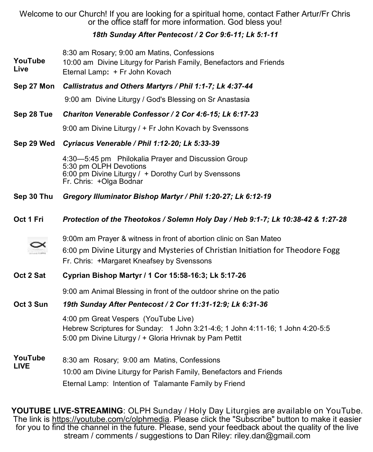Welcome to our Church! If you are looking for a spiritual home, contact Father Artur/Fr Chris or the office staff for more information. God bless you!

#### *18th Sunday After Pentecost / 2 Cor 9:6-11; Lk 5:1-11*

8:30 am Rosary; 9:00 am Matins, Confessions

- **YouTube Live** 10:00 am Divine Liturgy for Parish Family, Benefactors and Friends
- Eternal Lamp**:** + Fr John Kovach
- **Sep 27 Mon** *Callistratus and Others Martyrs / Phil 1:1-7; Lk 4:37-44*

9:00 am Divine Liturgy / God's Blessing on Sr Anastasia

#### **Sep 28 Tue** *Chariton Venerable Confessor / 2 Cor 4:6-15; Lk 6:17-23*

9:00 am Divine Liturgy / + Fr John Kovach by Svenssons

#### **Sep 29 Wed** *Cyriacus Venerable / Phil 1:12-20; Lk 5:33-39*

4:30—5:45 pm Philokalia Prayer and Discussion Group 5:30 pm OLPH Devotions 6:00 pm Divine Liturgy / + Dorothy Curl by Svenssons Fr. Chris: +Olga Bodnar

**Sep 30 Thu** *Gregory Illuminator Bishop Martyr / Phil 1:20-27; Lk 6:12-19*

#### **Oct 1 Fri** *Protection of the Theotokos / Solemn Holy Day / Heb 9:1-7; Lk 10:38-42 & 1:27-28*



9:00m am Prayer & witness in front of abortion clinic on San Mateo

6:00 pm Divine Liturgy and Mysteries of Christian Initiation for Theodore Fogg Fr. Chris: +Margaret Kneafsey by Svenssons

#### **Oct 2 Sat Cyprian Bishop Martyr / 1 Cor 15:58-16:3; Lk 5:17-26**

9:00 am Animal Blessing in front of the outdoor shrine on the patio

#### **Oct 3 Sun** *19th Sunday After Pentecost / 2 Cor 11:31-12:9; Lk 6:31-36*

4:00 pm Great Vespers (YouTube Live) Hebrew Scriptures for Sunday: 1 John 3:21-4:6; 1 John 4:11-16; 1 John 4:20-5:5 5:00 pm Divine Liturgy / + Gloria Hrivnak by Pam Pettit

#### **YouTube LIVE** 8:30 am Rosary; 9:00 am Matins, Confessions 10:00 am Divine Liturgy for Parish Family, Benefactors and Friends Eternal Lamp: Intention of Talamante Family by Friend

**YOUTUBE LIVE-STREAMING**: OLPH Sunday / Holy Day Liturgies are available on YouTube. The link is [https://youtube.com/c/olphmedia.](https://youtube.com/c/olphmedia) Please click the "Subscribe" button to make it easier for you to find the channel in the future. Please, send your feedback about the quality of the live stream / comments / suggestions to Dan Riley: [riley.dan@gmail.com](mailto:riley.dan@gmail.com)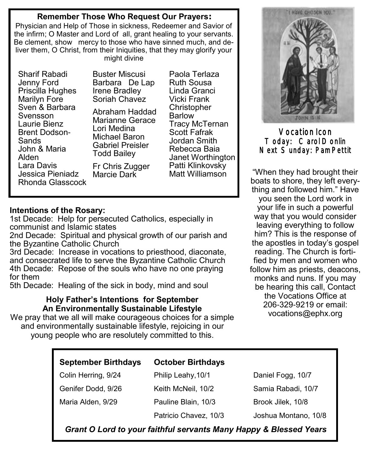### **Remember Those Who Request Our Prayers:**

Physician and Help of Those in sickness, Redeemer and Savior of the infirm; O Master and Lord of all, grant healing to your servants. Be clement, show mercy to those who have sinned much, and deliver them, O Christ, from their Iniquities, that they may glorify your might divine

Sharif Rabadi Jenny Ford Priscilla Hughes Marilyn Fore Sven & Barbara Svensson Laurie Bienz Brent Dodson-Sands John & Maria Alden Lara Davis Jessica Pieniadz Rhonda Glasscock Buster Miscusi Barbara De Lap Irene Bradley Soriah Chavez Abraham Haddad

Marianne Gerace Lori Medina Michael Baron Gabriel Preisler Todd Bailey Fr Chris Zugger Marcie Dark

Paola Terlaza Ruth Sousa Linda Granci Vicki Frank Christopher Barlow Tracy McTernan Scott Fafrak Jordan Smith Rebecca Baia Janet Worthington Patti Klinkovsky Matt Williamson

#### **Intentions of the Rosary:**

1st Decade: Help for persecuted Catholics, especially in communist and Islamic states

2nd Decade: Spiritual and physical growth of our parish and the Byzantine Catholic Church

3rd Decade: Increase in vocations to priesthood, diaconate, and consecrated life to serve the Byzantine Catholic Church 4th Decade: Repose of the souls who have no one praying for them

5th Decade: Healing of the sick in body, mind and soul

#### **Holy Father's Intentions for September An Environmentally Sustainable Lifestyle**

We pray that we all will make courageous choices for a simple and environmentally sustainable lifestyle, rejoicing in our young people who are resolutely committed to this.



Vocation Icon Today: Carol Donlin Next Sunday: Pam Pettit

"When they had brought their boats to shore, they left everything and followed him." Have you seen the Lord work in your life in such a powerful way that you would consider leaving everything to follow him? This is the response of the apostles in today's gospel reading. The Church is fortified by men and women who follow him as priests, deacons, monks and nuns. If you may be hearing this call, Contact the Vocations Office at 206-329-9219 or email: [vocations@ephx.org](mailto:vocations@ephx.org%20) 

| <b>September Birthdays</b> | <b>October Birthdays</b> |                      |
|----------------------------|--------------------------|----------------------|
| Colin Herring, 9/24        | Philip Leahy, 10/1       | Daniel Fogg, 10/7    |
| Genifer Dodd, 9/26         | Keith McNeil, 10/2       | Samia Rabadi, 10/7   |
| Maria Alden, 9/29          | Pauline Blain, 10/3      | Brook Jilek, 10/8    |
|                            | Patricio Chavez, 10/3    | Joshua Montano, 10/8 |

*Grant O Lord to your faithful servants Many Happy & Blessed Years*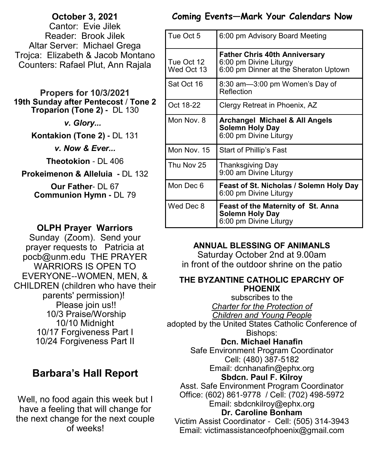## **October 3, 2021**  Cantor: Evie Jilek Reader: Brook Jilek

Altar Server: Michael Grega Trojca: Elizabeth & Jacob Montano Counters: Rafael Plut, Ann Rajala

#### **Propers for 10/3/2021 19th Sunday after Pentecost** / **Tone 2 Troparion (Tone 2) -** DL 130

*v. Glory...* 

**Kontakion (Tone 2) -** DL 131

*v. Now & Ever...*

**Theotokion** - DL 406

**Prokeimenon & Alleluia -** DL 132

**Our Father**- DL 67 **Communion Hymn -** DL 79

## **OLPH Prayer Warriors**

Sunday (Zoom). Send your prayer requests to Patricia at pocb@unm.edu THE PRAYER WARRIORS IS OPEN TO EVERYONE--WOMEN, MEN, & CHILDREN (children who have their parents' permission)! Please join us!! 10/3 Praise/Worship 10/10 Midnight 10/17 Forgiveness Part I 10/24 Forgiveness Part II

# **Barbara's Hall Report**

Well, no food again this week but I have a feeling that will change for the next change for the next couple of weeks!

## **Coming Events—Mark Your Calendars Now**

| Tue Oct 5                | 6:00 pm Advisory Board Meeting                                                                          |
|--------------------------|---------------------------------------------------------------------------------------------------------|
| Tue Oct 12<br>Wed Oct 13 | <b>Father Chris 40th Anniversary</b><br>6:00 pm Divine Liturgy<br>6:00 pm Dinner at the Sheraton Uptown |
| Sat Oct 16               | 8:30 am—3:00 pm Women's Day of<br>Reflection                                                            |
| Oct 18-22                | Clergy Retreat in Phoenix, AZ                                                                           |
| Mon Nov. 8               | <b>Archangel Michael &amp; All Angels</b><br>Solemn Holy Day<br>6:00 pm Divine Liturgy                  |
| Mon Nov. 15              | Start of Phillip's Fast                                                                                 |
| Thu Nov 25               | Thanksgiving Day<br>9:00 am Divine Liturgy                                                              |
| Mon Dec 6                | Feast of St. Nicholas / Solemn Holy Day<br>6:00 pm Divine Liturgy                                       |
| Wed Dec 8                | Feast of the Maternity of St. Anna<br><b>Solemn Holy Day</b><br>6:00 pm Divine Liturgy                  |

## **ANNUAL BLESSING OF ANIMANLS**

Saturday October 2nd at 9.00am in front of the outdoor shrine on the patio

### **THE BYZANTINE CATHOLIC EPARCHY OF PHOENIX**

subscribes to the *Charter for the Protection of Children and Young People*

adopted by the United States Catholic Conference of Bishops:

## **Dcn. Michael Hanafin**

Safe Environment Program Coordinator Cell: (480) 387-5182 Email: dcnhanafin@ephx.org **Sbdcn. Paul F. Kilroy**

Asst. Safe Environment Program Coordinator Office: (602) 861-9778 / Cell: (702) 498-5972 Email: [sbdcnkilroy@ephx.org](mailto:sbdcnkilroy@ephx.org)

## **Dr. Caroline Bonham**

Victim Assist Coordinator - Cell: (505) 314-3943 Email: [victimassistanceofphoenix@gmail.com](mailto:victimassistanceofphoenix@gmail.com)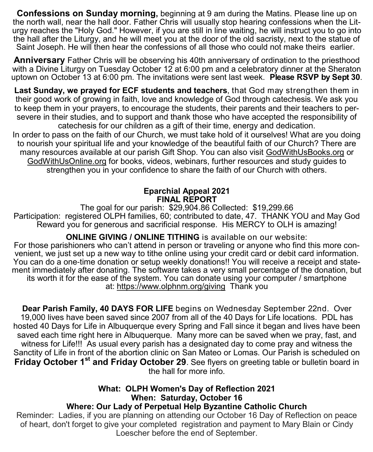**Confessions on Sunday morning,** beginning at 9 am during the Matins. Please line up on the north wall, near the hall door. Father Chris will usually stop hearing confessions when the Liturgy reaches the "Holy God." However, if you are still in line waiting, he will instruct you to go into the hall after the Liturgy, and he will meet you at the door of the old sacristy, next to the statue of Saint Joseph. He will then hear the confessions of all those who could not make theirs earlier.

**Anniversary** Father Chris will be observing his 40th anniversary of ordination to the priesthood with a Divine Liturgy on Tuesday October 12 at 6:00 pm and a celebratory dinner at the Sheraton uptown on October 13 at 6:00 pm. The invitations were sent last week. **Please RSVP by Sept 30**.

**Last Sunday, we prayed for ECF students and teachers**, that God may strengthen them in their good work of growing in faith, love and knowledge of God through catechesis. We ask you to keep them in your prayers, to encourage the students, their parents and their teachers to persevere in their studies, and to support and thank those who have accepted the responsibility of catechesis for our children as a gift of their time, energy and dedication.

In order to pass on the faith of our Church, we must take hold of it ourselves! What are you doing to nourish your spiritual life and your knowledge of the beautiful faith of our Church? There are many resources available at our parish Gift Shop. You can also visit [GodWithUsBooks.org](http://www.godwithusbooks.org/) or [GodWithUsOnline.org](http://www.godwithusonline.org/) for books, videos, webinars, further resources and study guides to strengthen you in your confidence to share the faith of our Church with others.

#### **Eparchial Appeal 2021 FINAL REPORT**

The goal for our parish: \$29,904.86 Collected: \$19,299.66 Participation: registered OLPH families, 60; contributed to date, 47. THANK YOU and May God Reward you for generous and sacrificial response. His MERCY to OLH is amazing!

**ONLINE GIVING / ONLINE TITHING** is available on our website:

For those parishioners who can't attend in person or traveling or anyone who find this more convenient, we just set up a new way to tithe online using your credit card or debit card information. You can do a one-time donation or setup weekly donations!! You will receive a receipt and statement immediately after donating. The software takes a very small percentage of the donation, but its worth it for the ease of the system. You can donate using your computer / smartphone at: <https://www.olphnm.org/giving>Thank you

**Dear Parish Family, 40 DAYS FOR LIFE** begins on Wednesday September 22nd. Over 19,000 lives have been saved since 2007 from all of the 40 Days for Life locations. PDL has hosted 40 Days for Life in Albuquerque every Spring and Fall since it began and lives have been saved each time right here in Albuquerque. Many more can be saved when we pray, fast, and witness for Life!!! As usual every parish has a designated day to come pray and witness the Sanctity of Life in front of the abortion clinic on San Mateo or Lomas. Our Parish is scheduled on **Friday October 1st and Friday October 29**. See flyers on greeting table or bulletin board in the hall for more info.

#### **What: OLPH Women's Day of Reflection 2021 When: Saturday, October 16 Where: Our Lady of Perpetual Help Byzantine Catholic Church**

Reminder: Ladies, if you are planning on attending our October 16 Day of Reflection on peace of heart, don't forget to give your completed registration and payment to Mary Blain or Cindy Loescher before the end of September.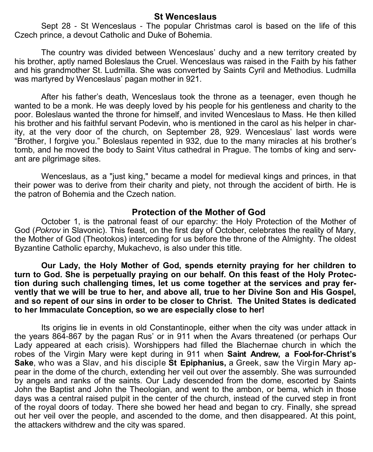#### **St Wenceslaus**

Sept 28 - St Wenceslaus - The popular Christmas carol is based on the life of this Czech prince, a devout Catholic and Duke of Bohemia.

The country was divided between Wenceslaus' duchy and a new territory created by his brother, aptly named Boleslaus the Cruel. Wenceslaus was raised in the Faith by his father and his grandmother St. Ludmilla. She was converted by Saints Cyril and Methodius. Ludmilla was martyred by Wenceslaus' pagan mother in 921.

After his father's death, Wenceslaus took the throne as a teenager, even though he wanted to be a monk. He was deeply loved by his people for his gentleness and charity to the poor. Boleslaus wanted the throne for himself, and invited Wenceslaus to Mass. He then killed his brother and his faithful servant Podevin, who is mentioned in the carol as his helper in charity, at the very door of the church, on September 28, 929. Wenceslaus' last words were "Brother, I forgive you." Boleslaus repented in 932, due to the many miracles at his brother's tomb, and he moved the body to Saint Vitus cathedral in Prague. The tombs of king and servant are pilgrimage sites.

Wenceslaus, as a "just king," became a model for medieval kings and princes, in that their power was to derive from their charity and piety, not through the accident of birth. He is the patron of Bohemia and the Czech nation.

#### **Protection of the Mother of God**

October 1, is the patronal feast of our eparchy: the Holy Protection of the Mother of God (*Pokrov* in Slavonic). This feast, on the first day of October, celebrates the reality of Mary, the Mother of God (Theotokos) interceding for us before the throne of the Almighty. The oldest Byzantine Catholic eparchy, Mukachevo, is also under this title.

**Our Lady, the Holy Mother of God, spends eternity praying for her children to turn to God. She is perpetually praying on our behalf. On this feast of the Holy Protection during such challenging times, let us come together at the services and pray fervently that we will be true to her, and above all, true to her Divine Son and His Gospel, and so repent of our sins in order to be closer to Christ. The United States is dedicated to her Immaculate Conception, so we are especially close to her!**

Its origins lie in events in old Constantinople, either when the city was under attack in the years 864-867 by the pagan Rus' or in 911 when the Avars threatened (or perhaps Our Lady appeared at each crisis). Worshippers had filled the Blachernae church in which the robes of the Virgin Mary were kept during in 911 when **Saint Andrew, a Fool-for-Christ's Sake**, who was a Slav, and his disciple **St Epiphanius,** a Greek, saw the Virgin Mary appear in the dome of the church, extending her veil out over the assembly. She was surrounded by angels and ranks of the saints. Our Lady descended from the dome, escorted by Saints John the Baptist and John the Theologian, and went to the ambon, or bema, which in those days was a central raised pulpit in the center of the church, instead of the curved step in front of the royal doors of today. There she bowed her head and began to cry. Finally, she spread out her veil over the people, and ascended to the dome, and then disappeared. At this point, the attackers withdrew and the city was spared.